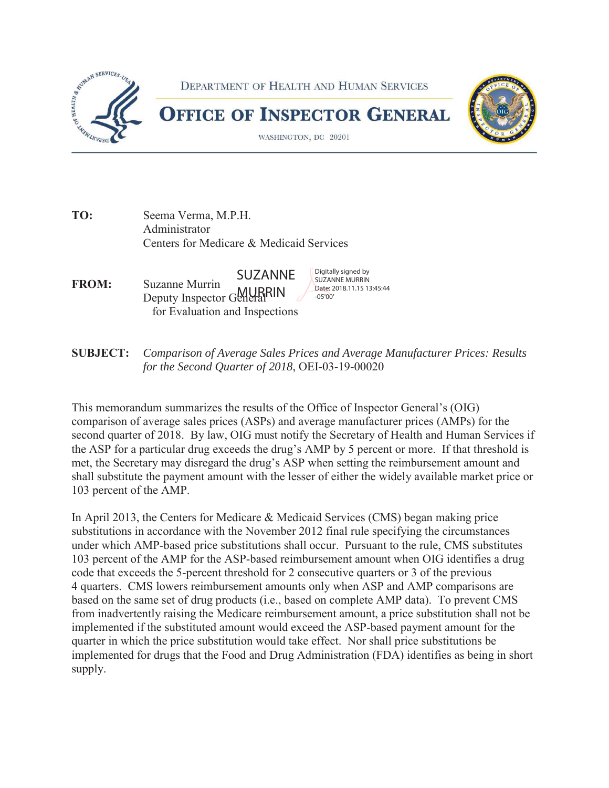

**TO:** Seema Verma, M.P.H. Administrator Centers for Medicare & Medicaid Services

**FROM:** Suzanne Murrin **SUZANNE** *Suzanne Murrin* **SUZANNE** *Suzanne Murrin Date: 2018.11.15 13:45:44* Buzanne Wurrin<br>Deputy Inspector General RIN for Evaluation and Inspections

**SUBJECT:** *Comparison of Average Sales Prices and Average Manufacturer Prices: Results for the Second Quarter of 2018*, OEI-03-19-00020

 the ASP for a particular drug exceeds the drug's AMP by 5 percent or more. If that threshold is met, the Secretary may disregard the drug's ASP when setting the reimbursement amount and This memorandum summarizes the results of the Office of Inspector General's (OIG) comparison of average sales prices (ASPs) and average manufacturer prices (AMPs) for the second quarter of 2018. By law, OIG must notify the Secretary of Health and Human Services if shall substitute the payment amount with the lesser of either the widely available market price or 103 percent of the AMP.

 103 percent of the AMP for the ASP-based reimbursement amount when OIG identifies a drug In April 2013, the Centers for Medicare & Medicaid Services (CMS) began making price substitutions in accordance with the November 2012 final rule specifying the circumstances under which AMP-based price substitutions shall occur. Pursuant to the rule, CMS substitutes code that exceeds the 5-percent threshold for 2 consecutive quarters or 3 of the previous 4 quarters. CMS lowers reimbursement amounts only when ASP and AMP comparisons are based on the same set of drug products (i.e., based on complete AMP data). To prevent CMS from inadvertently raising the Medicare reimbursement amount, a price substitution shall not be implemented if the substituted amount would exceed the ASP-based payment amount for the quarter in which the price substitution would take effect. Nor shall price substitutions be implemented for drugs that the Food and Drug Administration (FDA) identifies as being in short supply.